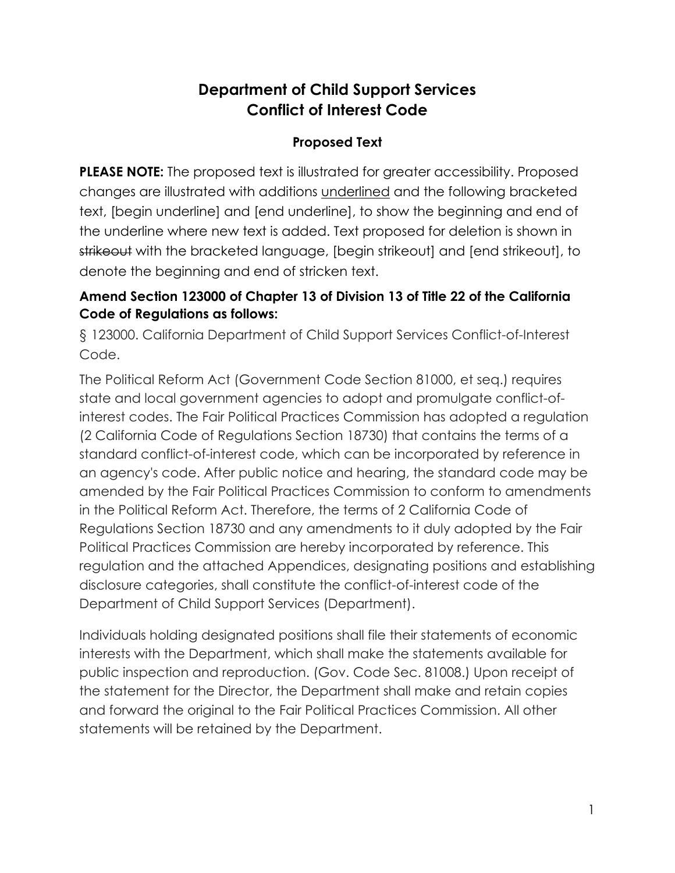# **Department of Child Support Services Conflict of Interest Code**

## **Proposed Text**

**PLEASE NOTE:** The proposed text is illustrated for greater accessibility. Proposed changes are illustrated with additions underlined and the following bracketed text, [begin underline] and [end underline], to show the beginning and end of the underline where new text is added. Text proposed for deletion is shown in strikeout with the bracketed language, [begin strikeout] and [end strikeout], to denote the beginning and end of stricken text.

## **Amend Section 123000 of Chapter 13 of Division 13 of Title 22 of the California Code of Regulations as follows:**

§ 123000. California Department of Child Support Services Conflict-of-Interest Code.

The Political Reform Act (Government Code Section 81000, et seq.) requires state and local government agencies to adopt and promulgate conflict-ofinterest codes. The Fair Political Practices Commission has adopted a regulation (2 California Code of Regulations Section 18730) that contains the terms of a standard conflict-of-interest code, which can be incorporated by reference in an agency's code. After public notice and hearing, the standard code may be amended by the Fair Political Practices Commission to conform to amendments in the Political Reform Act. Therefore, the terms of 2 California Code of Regulations Section 18730 and any amendments to it duly adopted by the Fair Political Practices Commission are hereby incorporated by reference. This regulation and the attached Appendices, designating positions and establishing disclosure categories, shall constitute the conflict-of-interest code of the Department of Child Support Services (Department).

Individuals holding designated positions shall file their statements of economic interests with the Department, which shall make the statements available for public inspection and reproduction. (Gov. Code Sec. 81008.) Upon receipt of the statement for the Director, the Department shall make and retain copies and forward the original to the Fair Political Practices Commission. All other statements will be retained by the Department.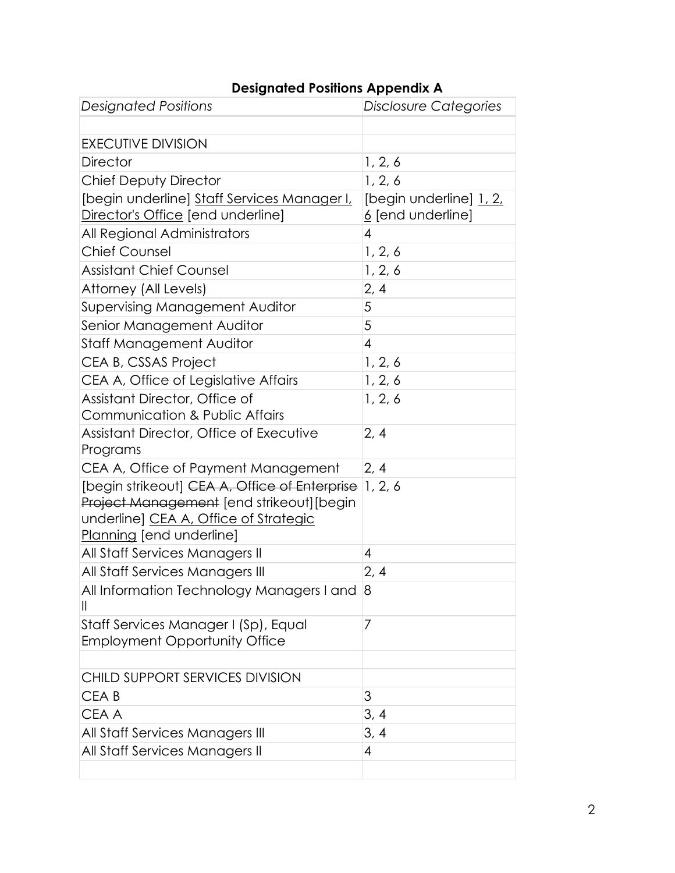| <b>Designated Positions</b>                                                               | Disclosure Categories    |
|-------------------------------------------------------------------------------------------|--------------------------|
|                                                                                           |                          |
| <b>EXECUTIVE DIVISION</b>                                                                 |                          |
| <b>Director</b>                                                                           | 1, 2, 6                  |
| Chief Deputy Director                                                                     | 1, 2, 6                  |
| [begin underline] Staff Services Manager I,                                               | [begin underline] 1, 2,  |
| Director's Office [end underline]                                                         | <u>6</u> [end underline] |
| All Regional Administrators                                                               | 4                        |
| <b>Chief Counsel</b>                                                                      | 1, 2, 6                  |
| <b>Assistant Chief Counsel</b>                                                            | 1, 2, 6                  |
| Attorney (All Levels)                                                                     | 2, 4                     |
| <b>Supervising Management Auditor</b>                                                     | 5                        |
| Senior Management Auditor                                                                 | 5                        |
| <b>Staff Management Auditor</b>                                                           | 4                        |
| CEA B, CSSAS Project                                                                      | 1, 2, 6                  |
| CEA A, Office of Legislative Affairs                                                      | 1, 2, 6                  |
| Assistant Director, Office of                                                             | 1, 2, 6                  |
| Communication & Public Affairs                                                            |                          |
| Assistant Director, Office of Executive                                                   | 2, 4                     |
| Programs                                                                                  |                          |
| CEA A, Office of Payment Management                                                       | 2, 4                     |
| [begin strikeout] CEA A, Office of Enterprise<br>Project Management [end strikeout][begin | 1, 2, 6                  |
| underline] CEA A, Office of Strategic                                                     |                          |
| Planning [end underline]                                                                  |                          |
| All Staff Services Managers II                                                            | 4                        |
| All Staff Services Managers III                                                           | 2, 4                     |
| All Information Technology Managers I and                                                 | $\delta$                 |
| $\mathbf{I}$                                                                              |                          |
| Staff Services Manager I (Sp), Equal                                                      | 7                        |
| <b>Employment Opportunity Office</b>                                                      |                          |
|                                                                                           |                          |
| CHILD SUPPORT SERVICES DIVISION                                                           |                          |
| CEA <sub>B</sub>                                                                          | 3                        |
| CEA A                                                                                     | 3, 4                     |
| All Staff Services Managers III                                                           | 3, 4                     |
| All Staff Services Managers II                                                            | 4                        |
|                                                                                           |                          |

# **Designated Positions Appendix A**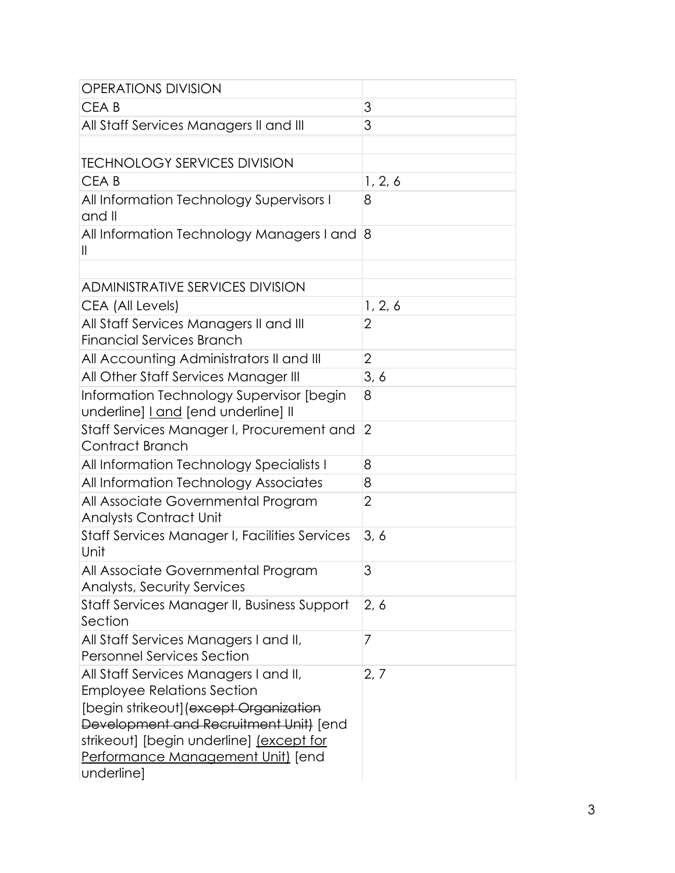| <b>OPERATIONS DIVISION</b>                                                                                                                                                                                                                                    |                |
|---------------------------------------------------------------------------------------------------------------------------------------------------------------------------------------------------------------------------------------------------------------|----------------|
| CEA <sub>B</sub>                                                                                                                                                                                                                                              | 3              |
| All Staff Services Managers II and III                                                                                                                                                                                                                        | 3              |
|                                                                                                                                                                                                                                                               |                |
| <b>TECHNOLOGY SERVICES DIVISION</b>                                                                                                                                                                                                                           |                |
| CEA <sub>B</sub>                                                                                                                                                                                                                                              | 1, 2, 6        |
| All Information Technology Supervisors I<br>and II                                                                                                                                                                                                            | 8              |
| All Information Technology Managers I and<br>Ш                                                                                                                                                                                                                | 8              |
|                                                                                                                                                                                                                                                               |                |
| <b>ADMINISTRATIVE SERVICES DIVISION</b>                                                                                                                                                                                                                       |                |
| CEA (All Levels)                                                                                                                                                                                                                                              | 1, 2, 6        |
| All Staff Services Managers II and III<br><b>Financial Services Branch</b>                                                                                                                                                                                    | 2              |
| All Accounting Administrators II and III                                                                                                                                                                                                                      | $\overline{2}$ |
| All Other Staff Services Manager III                                                                                                                                                                                                                          | 3, 6           |
| Information Technology Supervisor [begin<br>underline] Land [end underline] II                                                                                                                                                                                | 8              |
| Staff Services Manager I, Procurement and<br>Contract Branch                                                                                                                                                                                                  | $\overline{2}$ |
| All Information Technology Specialists I                                                                                                                                                                                                                      | 8              |
| All Information Technology Associates                                                                                                                                                                                                                         | 8              |
| All Associate Governmental Program<br><b>Analysts Contract Unit</b>                                                                                                                                                                                           | 2              |
| Staff Services Manager I, Facilities Services<br>Unit                                                                                                                                                                                                         | 3, 6           |
| All Associate Governmental Program<br><b>Analysts, Security Services</b>                                                                                                                                                                                      | 3              |
| Staff Services Manager II, Business Support<br>Section                                                                                                                                                                                                        | 2, 6           |
| All Staff Services Managers I and II,<br><b>Personnel Services Section</b>                                                                                                                                                                                    | 7              |
| All Staff Services Managers I and II,<br><b>Employee Relations Section</b><br>[begin strikeout] (except Organization<br>Development and Recruitment Unit) [end<br>strikeout] [begin underline] (except for<br>Performance Management Unit) [end<br>underline] | 2, 7           |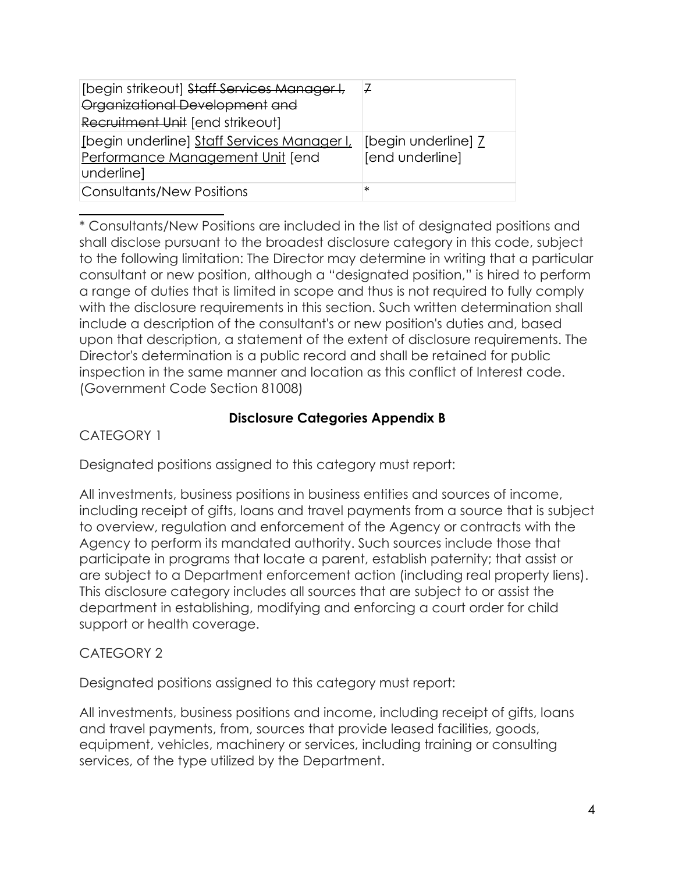| [begin strikeout] Staff Services Manager I,<br>Organizational Development and<br>Recruitment Unit [end strikeout] | 7                                      |
|-------------------------------------------------------------------------------------------------------------------|----------------------------------------|
| [begin underline] Staff Services Manager I,<br>Performance Management Unit [end<br> underline]                    | [begin underline] 7<br>[end underline] |
| Consultants/New Positions                                                                                         | $\ast$                                 |

\* Consultants/New Positions are included in the list of designated positions and shall disclose pursuant to the broadest disclosure category in this code, subject to the following limitation: The Director may determine in writing that a particular consultant or new position, although a "designated position," is hired to perform a range of duties that is limited in scope and thus is not required to fully comply with the disclosure requirements in this section. Such written determination shall include a description of the consultant's or new position's duties and, based upon that description, a statement of the extent of disclosure requirements. The Director's determination is a public record and shall be retained for public inspection in the same manner and location as this conflict of Interest code. (Government Code Section 81008)

### **Disclosure Categories Appendix B**

CATEGORY 1

Designated positions assigned to this category must report:

All investments, business positions in business entities and sources of income, including receipt of gifts, loans and travel payments from a source that is subject to overview, regulation and enforcement of the Agency or contracts with the Agency to perform its mandated authority. Such sources include those that participate in programs that locate a parent, establish paternity; that assist or are subject to a Department enforcement action (including real property liens). This disclosure category includes all sources that are subject to or assist the department in establishing, modifying and enforcing a court order for child support or health coverage.

### CATEGORY 2

Designated positions assigned to this category must report:

All investments, business positions and income, including receipt of gifts, loans and travel payments, from, sources that provide leased facilities, goods, equipment, vehicles, machinery or services, including training or consulting services, of the type utilized by the Department.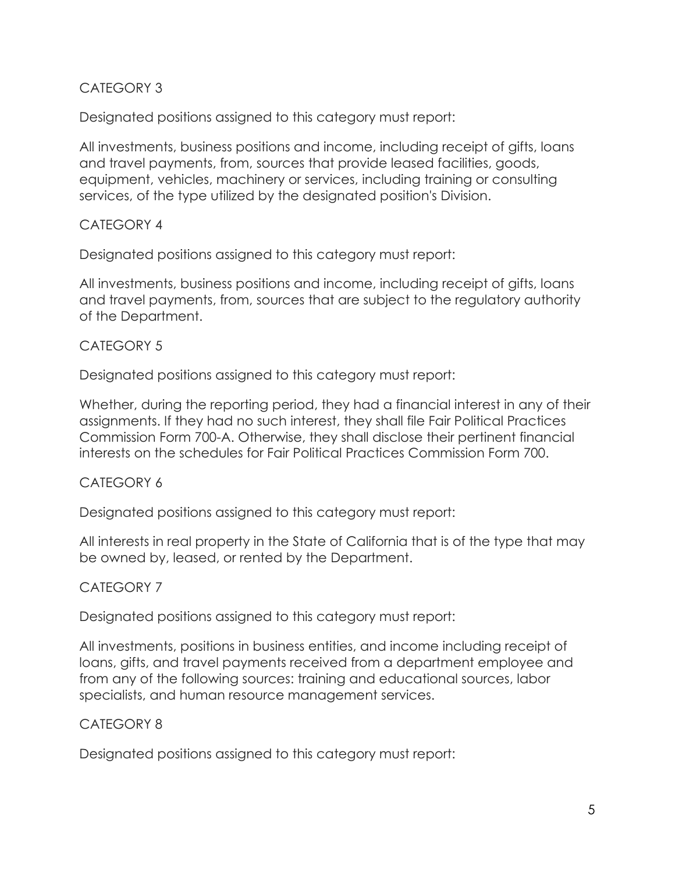#### CATEGORY 3

Designated positions assigned to this category must report:

All investments, business positions and income, including receipt of gifts, loans and travel payments, from, sources that provide leased facilities, goods, equipment, vehicles, machinery or services, including training or consulting services, of the type utilized by the designated position's Division.

#### CATEGORY 4

Designated positions assigned to this category must report:

All investments, business positions and income, including receipt of gifts, loans and travel payments, from, sources that are subject to the regulatory authority of the Department.

#### CATEGORY 5

Designated positions assigned to this category must report:

Whether, during the reporting period, they had a financial interest in any of their assignments. If they had no such interest, they shall file Fair Political Practices Commission Form 700-A. Otherwise, they shall disclose their pertinent financial interests on the schedules for Fair Political Practices Commission Form 700.

#### CATEGORY 6

Designated positions assigned to this category must report:

All interests in real property in the State of California that is of the type that may be owned by, leased, or rented by the Department.

#### CATEGORY 7

Designated positions assigned to this category must report:

All investments, positions in business entities, and income including receipt of loans, gifts, and travel payments received from a department employee and from any of the following sources: training and educational sources, labor specialists, and human resource management services.

#### CATEGORY 8

Designated positions assigned to this category must report: